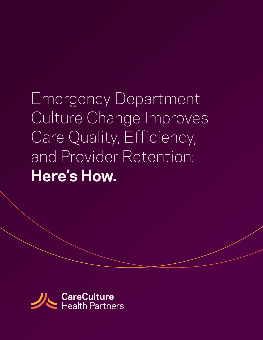Emergency Department Culture Change Improves Care Quality, Efficiency, and Provider Retention: **Here's How.**

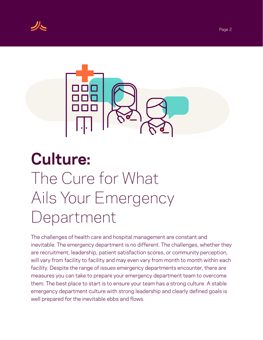



# **Culture:**  The Cure for What Ails Your Emergency Department

The challenges of health care and hospital management are constant and inevitable. The emergency department is no different. The challenges, whether they are recruitment, leadership, patient satisfaction scores, or community perception, will vary from facility to facility and may even vary from month to month within each facility. Despite the range of issues emergency departments encounter, there are measures you can take to prepare your emergency department team to overcome them. The best place to start is to ensure your team has a strong culture. A stable emergency department culture with strong leadership and clearly defined goals is well prepared for the inevitable ebbs and flows.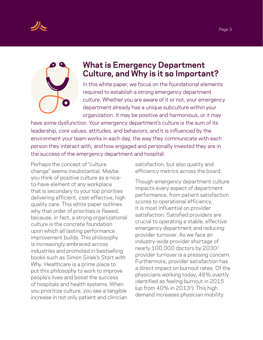



## **What is Emergency Department Culture, and Why is it so Important?**

In this white paper, we focus on the foundational elements required to establish a strong emergency department culture. Whether you are aware of it or not, your emergency department already has a unique subculture within your organization. It may be positive and harmonious, or it may

have some dysfunction. Your emergency department's culture is the sum of its leadership, core values, attitudes, and behaviors, and it is influenced by the environment your team works in each day, the way they communicate with each person they interact with, and how engaged and personally invested they are in the success of the emergency department and hospital.

Perhaps the concept of "culture change" seems insubstantial. Maybe you think of positive culture as a niceto-have element of any workplace that is secondary to your top priorities delivering efficient, cost-effective, high quality care. This white paper outlines why that order of priorities is flawed, because, in fact, a strong organizational culture is the concrete foundation upon which all lasting performance improvement builds. This philosophy is increasingly embraced across industries and promoted in bestselling books such as Simon Sinek's *Start with Why*. Healthcare is a prime place to put this philosophy to work to improve people's lives and boost the success of hospitals and health systems. When you prioritize culture, you see a tangible increase in not only patient and clinician

satisfaction, but also quality and efficiency metrics across the board.

Though emergency department culture impacts every aspect of department performance, from patient satisfaction scores to operational efficiency, it is most influential on provider satisfaction. Satisfied providers are crucial to operating a stable, effective emergency department and reducing provider turnover. As we face an industry-wide provider shortage of nearly 100,000 doctors by 20301 provider turnover is a pressing concern. Furthermore, provider satisfaction has a direct impact on burnout rates. Of the physicians working today, 46% overtly identified as feeling burnout in 2015 (up from 40% in 20132). This high demand increases physician mobility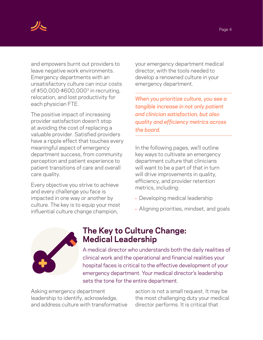

and empowers burnt out providers to leave negative work environments. Emergency departments with an unsatisfactory culture can incur costs of \$50,000-\$600,0003 in recruiting, relocation, and lost productivity for each physician FTE.

The positive impact of increasing provider satisfaction doesn't stop at avoiding the cost of replacing a valuable provider. Satisfied providers have a ripple effect that touches every meaningful aspect of emergency department success, from community perception and patient experience to patient transitions of care and overall care quality.

Every objective you strive to achieve and every challenge you face is impacted in one way or another by culture. The key is to equip your most influential culture change champion,

your emergency department medical director, with the tools needed to develop a renowned culture in your emergency department.

*When you prioritize culture, you see a tangible increase in not only patient and clinician satisfaction, but also quality and efficiency metrics across the board.*

In the following pages, we'll outline key ways to cultivate an emergency department culture that clinicians will want to be a part of that in turn will drive improvements in quality, efficiency, and provider retention metrics, including:

- Developing medical leadership
- Aligning priorities, mindset, and goals



### **The Key to Culture Change: Medical Leadership**

A medical director who understands both the daily realities of clinical work and the operational and financial realities your hospital faces is critical to the effective development of your emergency department. Your medical director's leadership sets the tone for the entire department.

Asking emergency department leadership to identify, acknowledge, and address culture with transformative action is not a small request. It may be the most challenging duty your medical director performs. It is critical that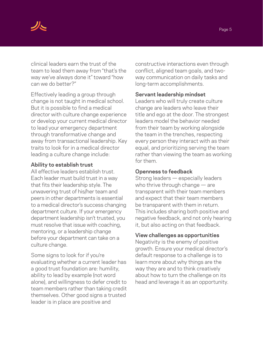

clinical leaders earn the trust of the team to lead them away from "that's the way we've always done it" toward "how can we do better?"

Effectively leading a group through change is not taught in medical school. But it is possible to find a medical director with culture change experience or develop your current medical director to lead your emergency department through transformative change and away from transactional leadership. Key traits to look for in a medical director leading a culture change include:

### **Ability to establish trust**

All effective leaders establish trust. Each leader must build trust in a way that fits their leadership style. The unwavering trust of his/her team and peers in other departments is essential to a medical director's success changing department culture. If your emergency department leadership isn't trusted, you must resolve that issue with coaching, mentoring, or a leadership change before your department can take on a culture change.

Some signs to look for if you're evaluating whether a current leader has a good trust foundation are: humility, ability to lead by example (not word alone), and willingness to defer credit to team members rather than taking credit themselves. Other good signs a trusted leader is in place are positive and

constructive interactions even through conflict, aligned team goals, and twoway communication on daily tasks and long-term accomplishments.

### **Servant leadership mindset**

Leaders who will truly create culture change are leaders who leave their title and ego at the door. The strongest leaders model the behavior needed from their team by working alongside the team in the trenches, respecting every person they interact with as their equal, and prioritizing serving the team rather than viewing the team as working for them.

#### **Openness to feedback**

Strong leaders — especially leaders who thrive through change — are transparent with their team members and expect that their team members be transparent with them in return. This includes sharing both positive and negative feedback, and not only hearing it, but also acting on that feedback.

#### **View challenges as opportunities**

Negativity is the enemy of positive growth. Ensure your medical director's default response to a challenge is to learn more about why things are the way they are and to think creatively about how to turn the challenge on its head and leverage it as an opportunity.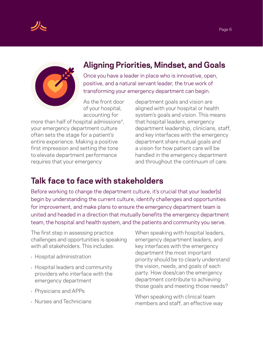



## **Aligning Priorities, Mindset, and Goals**

Once you have a leader in place who is innovative, open, positive, and a natural servant leader, the true work of transforming your emergency department can begin.

As the front door of your hospital, accounting for

more than half of hospital admissions<sup>4</sup>, your emergency department culture often sets the stage for a patient's entire experience. Making a positive first impression and setting the tone to elevate department performance requires that your emergency

department goals and vision are aligned with your hospital or health system's goals and vision. This means that hospital leaders, emergency department leadership, clinicians, staff, and key interfaces with the emergency department share mutual goals and a vision for how patient care will be handled in the emergency department and throughout the continuum of care.

## **Talk face to face with stakeholders**

Before working to change the department culture, it's crucial that your leader(s) begin by understanding the current culture, identify challenges and opportunities for improvement, and make plans to ensure the emergency department team is united and headed in a direction that mutually benefits the emergency department team, the hospital and health system, and the patients and community you serve.

The first step in assessing practice challenges and opportunities is speaking with all stakeholders. This includes:

- Hospital administration
- Hospital leaders and community providers who interface with the emergency department
- Physicians and APPs
- Nurses and Technicians

When speaking with hospital leaders, emergency department leaders, and key interfaces with the emergency department the most important priority should be to clearly understand the vision, needs, and goals of each party. How does/can the emergency department contribute to achieving those goals and meeting those needs?

When speaking with clinical team members and staff, an effective way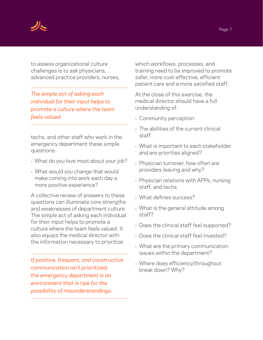

to assess organizational culture challenges is to ask physicians, advanced practice providers, nurses,

*The simple act of asking each individual for their input helps to promote a culture where the team feels valued.* 

techs, and other staff who work in the emergency department these simple questions:

- What do you love most about your job?
- What would you change that would make coming into work each day a more positive experience?

A collective review of answers to these questions can illuminate core strengths and weaknesses of department culture. The simple act of asking each individual for their input helps to promote a culture where the team feels valued. It also equips the medical director with the information necessary to prioritize

*If positive, frequent, and constructive communication isn't prioritized, the emergency department is an environment that is ripe for the possibility of misunderstandings.*

which workflows, processes, and training need to be improved to promote safer, more cost-effective, efficient patient care and a more satisfied staff.

At the close of this exercise, the medical director should have a full understanding of:

- Community perception
- The abilities of the current clinical staff
- What is important to each stakeholder and are priorities aligned?
- Physician turnover, how often are providers leaving and why?
- Physician relations with APPs, nursing staff, and techs
- What defines success?
- What is the general attitude among staff?
- Does the clinical staff feel supported?
- Does the clinical staff feel invested?
- What are the primary communication issues within the department?
- Where does efficiency/throughout break down? Why?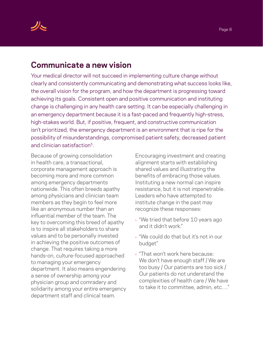

### **Communicate a new vision**

Your medical director will not succeed in implementing culture change without clearly and consistently communicating and demonstrating what success looks like, the overall vision for the program, and how the department is progressing toward achieving its goals. Consistent open and positive communication and instituting change is challenging in any health care setting. It can be especially challenging in an emergency department because it is a fast-paced and frequently high-stress, high-stakes world. But, if positive, frequent, and constructive communication isn't prioritized, the emergency department is an environment that is ripe for the possibility of misunderstandings, compromised patient safety, decreased patient and clinician satisfaction5.

Because of growing consolidation in health care, a transactional, corporate management approach is becoming more and more common among emergency departments nationwide. This often breeds apathy among physicians and clinician team members as they begin to feel more like an anonymous number than an influential member of the team. The key to overcoming this breed of apathy is to inspire all stakeholders to share values and to be personally invested in achieving the positive outcomes of change. That requires taking a more hands-on, culture-focused approached to managing your emergency department. It also means engendering a sense of ownership among your physician group and comradery and solidarity among your entire emergency department staff and clinical team.

Encouraging investment and creating alignment starts with establishing shared values and illustrating the benefits of embracing those values. Instituting a new normal can inspire resistance, but it is not impenetrable. Leaders who have attempted to institute change in the past may recognize these responses:

- "We tried that before 10 years ago and it didn't work."
- "We could do that but it's not in our budget"
- "That won't work here because: We don't have enough staff / We are too busy / Our patients are too sick / Our patients do not understand the complexities of health care / We have to take it to committee, admin, etc.…"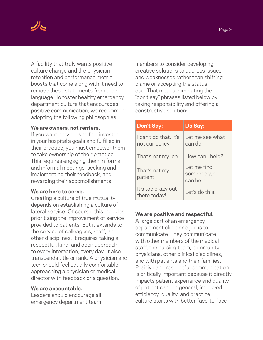

A facility that truly wants positive culture change and the physician retention and performance metric boosts that come along with it need to remove these statements from their language. To foster healthy emergency department culture that encourages positive communication, we recommend adopting the following philosophies:

#### **We are owners, not renters.**

If you want providers to feel invested in your hospital's goals and fulfilled in their practice, you must empower them to take ownership of their practice. This requires engaging them in formal and informal meetings, seeking and implementing their feedback, and rewarding their accomplishments.

### **We are here to serve.**

Creating a culture of true mutuality depends on establishing a culture of lateral service. Of course, this includes prioritizing the improvement of service provided to patients. But it extends to the service of colleagues, staff, and other disciplines. It requires taking a respectful, kind, and open approach to every interaction, every day. It also transcends title or rank. A physician and tech should feel equally comfortable approaching a physician or medical director with feedback or a question.

### **We are accountable.**

Leaders should encourage all emergency department team members to consider developing creative solutions to address issues and weaknesses rather than shifting blame or accepting the status quo. That means eliminating the "don't say" phrases listed below by taking responsibility and offering a constructive solution:

| <b>Don't Say:</b>                      | Do Say:                                 |
|----------------------------------------|-----------------------------------------|
| Lcan't do that It's<br>not our policy. | Let me see what I<br>can do.            |
| That's not my job.                     | How can I help?                         |
| That's not my<br>patient.              | Let me find<br>someone who<br>can help. |
| It's too crazy out<br>there today!     | Let's do this!                          |

### **We are positive and respectful.**

A large part of an emergency department clinician's job is to communicate. They communicate with other members of the medical staff, the nursing team, community physicians, other clinical disciplines, and with patients and their families. Positive and respectful communication is critically important because it directly impacts patient experience and quality of patient care. In general, improved efficiency, quality, and practice culture starts with better face-to-face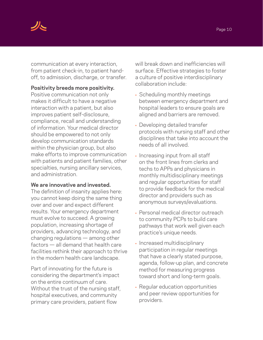

communication at every interaction, from patient check-in, to patient handoff, to admission, discharge, or transfer.

### **Positivity breeds more positivity.**

Positive communication not only makes it difficult to have a negative interaction with a patient, but also improves patient self-disclosure, compliance, recall and understanding of information. Your medical director should be empowered to not only develop communication standards within the physician group, but also make efforts to improve communication with patients and patient families, other specialties, nursing ancillary services, and administration.

### **We are innovative and invested.**

The definition of insanity applies here: you cannot keep doing the same thing over and over and expect different results. Your emergency department must evolve to succeed. A growing population, increasing shortage of providers, advancing technology, and changing regulations — among other factors — all demand that health care facilities rethink their approach to thrive in the modern health care landscape.

Part of innovating for the future is considering the department's impact on the entire continuum of care. Without the trust of the nursing staff, hospital executives, and community primary care providers, patient flow

will break down and inefficiencies will surface. Effective strategies to foster a culture of positive interdisciplinary collaboration include:

- Scheduling monthly meetings between emergency department and hospital leaders to ensure goals are aligned and barriers are removed.
- Developing detailed transfer protocols with nursing staff and other disciplines that take into account the needs of all involved.
- Increasing input from all staff on the front lines from clerks and techs to APPs and physicians in monthly multidisciplinary meetings and regular opportunities for staff to provide feedback for the medical director and providers such as anonymous surveys/evaluations.
- Personal medical director outreach to community PCPs to build care pathways that work well given each practice's unique needs.
- Increased multidisciplinary participation in regular meetings that have a clearly stated purpose, agenda, follow-up plan, and concrete method for measuring progress toward short and long-term goals.
- Regular education opportunities and peer review opportunities for providers.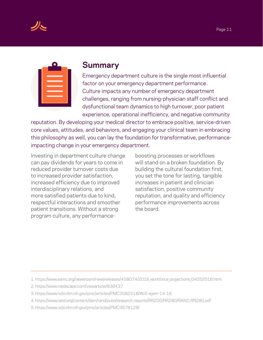

| $\Omega$                                                                        |  |
|---------------------------------------------------------------------------------|--|
|                                                                                 |  |
| the contract of the contract of                                                 |  |
| <b>Contract Contract Contract</b><br><b>Contract Contract Contract Contract</b> |  |
|                                                                                 |  |
|                                                                                 |  |

### **Summary**

Emergency department culture is the single most influential factor on your emergency department performance. Culture impacts any number of emergency department challenges, ranging from nursing-physician staff conflict and dysfunctional team dynamics to high turnover, poor patient experience, operational inefficiency, and negative community

reputation. By developing your medical director to embrace positive, service-driven core values, attitudes, and behaviors, and engaging your clinical team in embracing this philosophy as well, you can lay the foundation for transformative, performanceimpacting change in your emergency department.

Investing in department culture change can pay dividends for years to come in reduced provider turnover costs due to increased provider satisfaction, increased efficiency due to improved interdisciplinary relations, and more satisfied patients due to kind, respectful interactions and smoother patient transitions. Without a strong program culture, any performanceboosting processes or workflows will stand on a broken foundation. By building the cultural foundation first, you set the tone for lasting, tangible increases in patient and clinician satisfaction, positive community reputation, and quality and efficiency performance improvements across the board.

1. https://www.aamc.org/newsroom/newsreleases/458074/2016 workforce projections 04052016.html

- 2. https://www.medscape.com/viewarticle/838437
- 3. https://www.ncbi.nlm.nih.gov/pmc/articles/PMC3582518/#b5-wjem-14-16
- 4. https://www.rand.org/content/dam/rand/pubs/research reports/RR200/RR280/RAND RR280.pdf
- 5. https://www.ncbi.nlm.nih.gov/pmc/articles/PMC4678128/